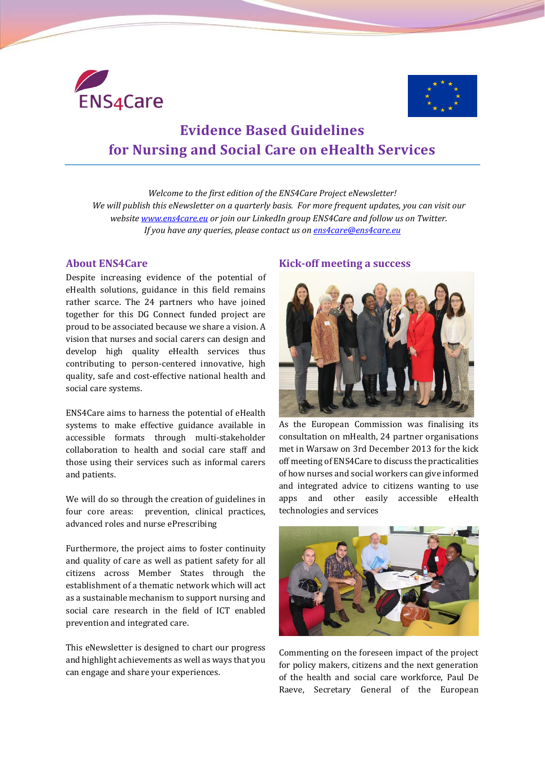



# **Evidence Based Guidelines for Nursing and Social Care on eHealth Services**

*Welcome to the first edition of the ENS4Care Project eNewsletter! We will publish this eNewsletter on a quarterly basis. For more frequent updates, you can visit our website [www.ens4care.eu](http://www.ens4care.eu/) or join our LinkedIn group ENS4Care and follow us on Twitter. If you have any queries, please contact us on [ens4care@ens4care.eu](mailto:ens4care@ens4care.eu)*

#### **About ENS4Care**

Despite increasing evidence of the potential of eHealth solutions, guidance in this field remains rather scarce. The 24 partners who have joined together for this DG Connect funded project are proud to be associated because we share a vision. A vision that nurses and social carers can design and develop high quality eHealth services thus contributing to person-centered innovative, high quality, safe and cost-effective national health and social care systems.

ENS4Care aims to harness the potential of eHealth systems to make effective guidance available in accessible formats through multi-stakeholder collaboration to health and social care staff and those using their services such as informal carers and patients.

We will do so through the creation of guidelines in four core areas: prevention, clinical practices, advanced roles and nurse ePrescribing

Furthermore, the project aims to foster continuity and quality of care as well as patient safety for all citizens across Member States through the establishment of a thematic network which will act as a sustainable mechanism to support nursing and social care research in the field of ICT enabled prevention and integrated care.

This eNewsletter is designed to chart our progress and highlight achievements as well as ways that you can engage and share your experiences.

#### **Kick-off meeting a success**



As the European Commission was finalising its consultation on mHealth, 24 partner organisations met in Warsaw on 3rd December 2013 for the kick off meeting of ENS4Care to discuss the practicalities of how nurses and social workers can give informed and integrated advice to citizens wanting to use apps and other easily accessible eHealth technologies and services



Commenting on the foreseen impact of the project for policy makers, citizens and the next generation of the health and social care workforce, Paul De Raeve, Secretary General of the European